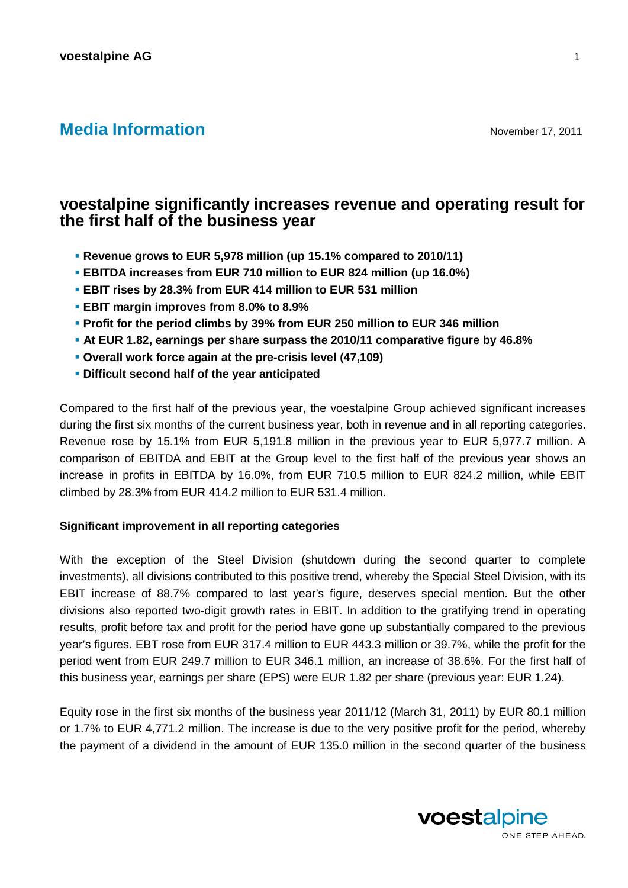# **Media Information November 17, 2011**

## **voestalpine significantly increases revenue and operating result for the first half of the business year**

- **Revenue grows to EUR 5,978 million (up 15.1% compared to 2010/11)**
- **EBITDA increases from EUR 710 million to EUR 824 million (up 16.0%)**
- **EBIT rises by 28.3% from EUR 414 million to EUR 531 million**
- **EBIT margin improves from 8.0% to 8.9%**
- **Profit for the period climbs by 39% from EUR 250 million to EUR 346 million**
- **At EUR 1.82, earnings per share surpass the 2010/11 comparative figure by 46.8%**
- **Overall work force again at the pre-crisis level (47,109)**
- **Difficult second half of the year anticipated**

Compared to the first half of the previous year, the voestalpine Group achieved significant increases during the first six months of the current business year, both in revenue and in all reporting categories. Revenue rose by 15.1% from EUR 5,191.8 million in the previous year to EUR 5,977.7 million. A comparison of EBITDA and EBIT at the Group level to the first half of the previous year shows an increase in profits in EBITDA by 16.0%, from EUR 710.5 million to EUR 824.2 million, while EBIT climbed by 28.3% from EUR 414.2 million to EUR 531.4 million.

## **Significant improvement in all reporting categories**

With the exception of the Steel Division (shutdown during the second quarter to complete investments), all divisions contributed to this positive trend, whereby the Special Steel Division, with its EBIT increase of 88.7% compared to last year's figure, deserves special mention. But the other divisions also reported two-digit growth rates in EBIT. In addition to the gratifying trend in operating results, profit before tax and profit for the period have gone up substantially compared to the previous year's figures. EBT rose from EUR 317.4 million to EUR 443.3 million or 39.7%, while the profit for the period went from EUR 249.7 million to EUR 346.1 million, an increase of 38.6%. For the first half of this business year, earnings per share (EPS) were EUR 1.82 per share (previous year: EUR 1.24).

Equity rose in the first six months of the business year 2011/12 (March 31, 2011) by EUR 80.1 million or 1.7% to EUR 4,771.2 million. The increase is due to the very positive profit for the period, whereby the payment of a dividend in the amount of EUR 135.0 million in the second quarter of the business

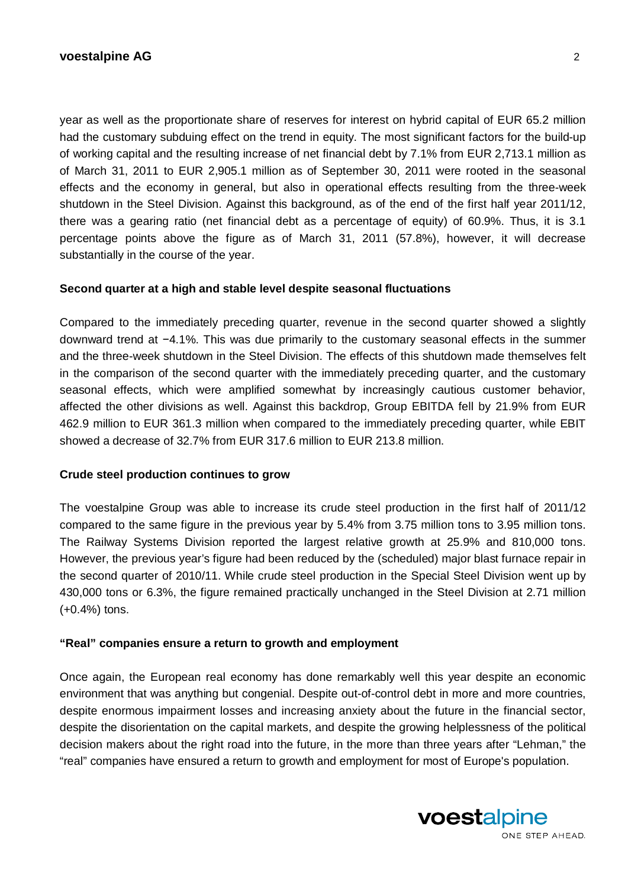year as well as the proportionate share of reserves for interest on hybrid capital of EUR 65.2 million had the customary subduing effect on the trend in equity. The most significant factors for the build-up of working capital and the resulting increase of net financial debt by 7.1% from EUR 2,713.1 million as of March 31, 2011 to EUR 2,905.1 million as of September 30, 2011 were rooted in the seasonal effects and the economy in general, but also in operational effects resulting from the three-week shutdown in the Steel Division. Against this background, as of the end of the first half year 2011/12, there was a gearing ratio (net financial debt as a percentage of equity) of 60.9%. Thus, it is 3.1 percentage points above the figure as of March 31, 2011 (57.8%), however, it will decrease substantially in the course of the year.

## **Second quarter at a high and stable level despite seasonal fluctuations**

Compared to the immediately preceding quarter, revenue in the second quarter showed a slightly downward trend at  $-4.1\%$ . This was due primarily to the customary seasonal effects in the summer and the three-week shutdown in the Steel Division. The effects of this shutdown made themselves felt in the comparison of the second quarter with the immediately preceding quarter, and the customary seasonal effects, which were amplified somewhat by increasingly cautious customer behavior, affected the other divisions as well. Against this backdrop, Group EBITDA fell by 21.9% from EUR 462.9 million to EUR 361.3 million when compared to the immediately preceding quarter, while EBIT showed a decrease of 32.7% from EUR 317.6 million to EUR 213.8 million.

## **Crude steel production continues to grow**

The voestalpine Group was able to increase its crude steel production in the first half of 2011/12 compared to the same figure in the previous year by 5.4% from 3.75 million tons to 3.95 million tons. The Railway Systems Division reported the largest relative growth at 25.9% and 810,000 tons. However, the previous year's figure had been reduced by the (scheduled) major blast furnace repair in the second quarter of 2010/11. While crude steel production in the Special Steel Division went up by 430,000 tons or 6.3%, the figure remained practically unchanged in the Steel Division at 2.71 million (+0.4%) tons.

## **"Real" companies ensure a return to growth and employment**

Once again, the European real economy has done remarkably well this year despite an economic environment that was anything but congenial. Despite out-of-control debt in more and more countries, despite enormous impairment losses and increasing anxiety about the future in the financial sector, despite the disorientation on the capital markets, and despite the growing helplessness of the political decision makers about the right road into the future, in the more than three years after "Lehman," the "real" companies have ensured a return to growth and employment for most of Europe's population.

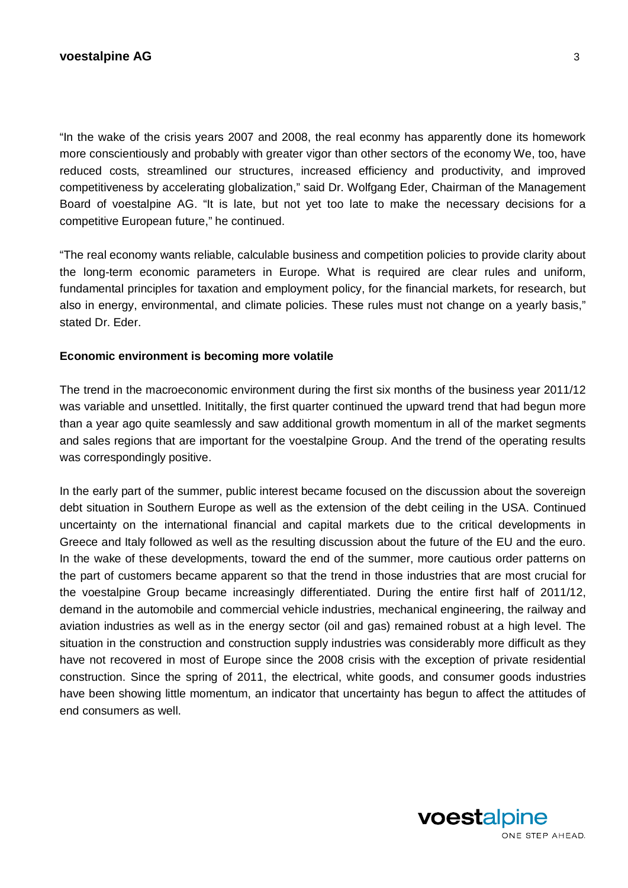"In the wake of the crisis years 2007 and 2008, the real econmy has apparently done its homework more conscientiously and probably with greater vigor than other sectors of the economy We, too, have reduced costs, streamlined our structures, increased efficiency and productivity, and improved competitiveness by accelerating globalization," said Dr. Wolfgang Eder, Chairman of the Management Board of voestalpine AG. "It is late, but not yet too late to make the necessary decisions for a competitive European future," he continued.

"The real economy wants reliable, calculable business and competition policies to provide clarity about the long-term economic parameters in Europe. What is required are clear rules and uniform, fundamental principles for taxation and employment policy, for the financial markets, for research, but also in energy, environmental, and climate policies. These rules must not change on a yearly basis," stated Dr. Eder.

## **Economic environment is becoming more volatile**

The trend in the macroeconomic environment during the first six months of the business year 2011/12 was variable and unsettled. Inititally, the first quarter continued the upward trend that had begun more than a year ago quite seamlessly and saw additional growth momentum in all of the market segments and sales regions that are important for the voestalpine Group. And the trend of the operating results was correspondingly positive.

In the early part of the summer, public interest became focused on the discussion about the sovereign debt situation in Southern Europe as well as the extension of the debt ceiling in the USA. Continued uncertainty on the international financial and capital markets due to the critical developments in Greece and Italy followed as well as the resulting discussion about the future of the EU and the euro. In the wake of these developments, toward the end of the summer, more cautious order patterns on the part of customers became apparent so that the trend in those industries that are most crucial for the voestalpine Group became increasingly differentiated. During the entire first half of 2011/12, demand in the automobile and commercial vehicle industries, mechanical engineering, the railway and aviation industries as well as in the energy sector (oil and gas) remained robust at a high level. The situation in the construction and construction supply industries was considerably more difficult as they have not recovered in most of Europe since the 2008 crisis with the exception of private residential construction. Since the spring of 2011, the electrical, white goods, and consumer goods industries have been showing little momentum, an indicator that uncertainty has begun to affect the attitudes of end consumers as well.

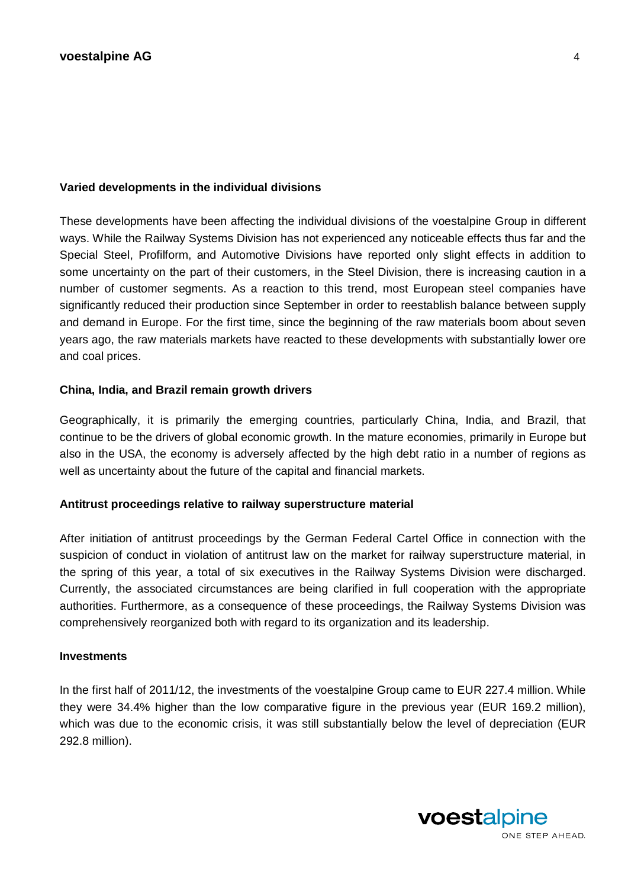## **Varied developments in the individual divisions**

These developments have been affecting the individual divisions of the voestalpine Group in different ways. While the Railway Systems Division has not experienced any noticeable effects thus far and the Special Steel, Profilform, and Automotive Divisions have reported only slight effects in addition to some uncertainty on the part of their customers, in the Steel Division, there is increasing caution in a number of customer segments. As a reaction to this trend, most European steel companies have significantly reduced their production since September in order to reestablish balance between supply and demand in Europe. For the first time, since the beginning of the raw materials boom about seven years ago, the raw materials markets have reacted to these developments with substantially lower ore and coal prices.

## **China, India, and Brazil remain growth drivers**

Geographically, it is primarily the emerging countries, particularly China, India, and Brazil, that continue to be the drivers of global economic growth. In the mature economies, primarily in Europe but also in the USA, the economy is adversely affected by the high debt ratio in a number of regions as well as uncertainty about the future of the capital and financial markets.

## **Antitrust proceedings relative to railway superstructure material**

After initiation of antitrust proceedings by the German Federal Cartel Office in connection with the suspicion of conduct in violation of antitrust law on the market for railway superstructure material, in the spring of this year, a total of six executives in the Railway Systems Division were discharged. Currently, the associated circumstances are being clarified in full cooperation with the appropriate authorities. Furthermore, as a consequence of these proceedings, the Railway Systems Division was comprehensively reorganized both with regard to its organization and its leadership.

## **Investments**

In the first half of 2011/12, the investments of the voestalpine Group came to EUR 227.4 million. While they were 34.4% higher than the low comparative figure in the previous year (EUR 169.2 million), which was due to the economic crisis, it was still substantially below the level of depreciation (EUR 292.8 million).

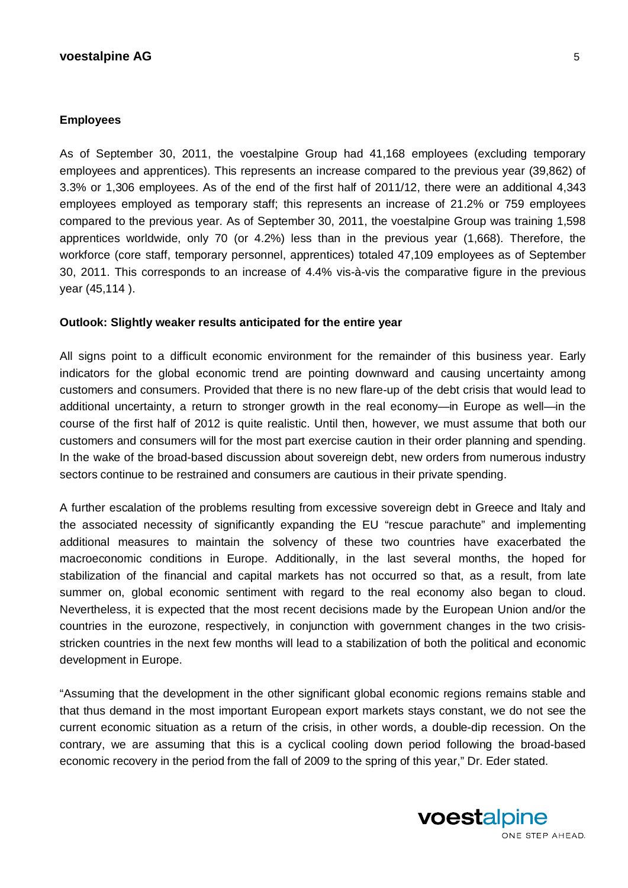## **voestalpine AG** 5

#### **Employees**

As of September 30, 2011, the voestalpine Group had 41,168 employees (excluding temporary employees and apprentices). This represents an increase compared to the previous year (39,862) of 3.3% or 1,306 employees. As of the end of the first half of 2011/12, there were an additional 4,343 employees employed as temporary staff; this represents an increase of 21.2% or 759 employees compared to the previous year. As of September 30, 2011, the voestalpine Group was training 1,598 apprentices worldwide, only 70 (or 4.2%) less than in the previous year (1,668). Therefore, the workforce (core staff, temporary personnel, apprentices) totaled 47,109 employees as of September 30, 2011. This corresponds to an increase of 4.4% vis-à-vis the comparative figure in the previous year (45,114 ).

#### **Outlook: Slightly weaker results anticipated for the entire year**

All signs point to a difficult economic environment for the remainder of this business year. Early indicators for the global economic trend are pointing downward and causing uncertainty among customers and consumers. Provided that there is no new flare-up of the debt crisis that would lead to additional uncertainty, a return to stronger growth in the real economy—in Europe as well—in the course of the first half of 2012 is quite realistic. Until then, however, we must assume that both our customers and consumers will for the most part exercise caution in their order planning and spending. In the wake of the broad-based discussion about sovereign debt, new orders from numerous industry sectors continue to be restrained and consumers are cautious in their private spending.

A further escalation of the problems resulting from excessive sovereign debt in Greece and Italy and the associated necessity of significantly expanding the EU "rescue parachute" and implementing additional measures to maintain the solvency of these two countries have exacerbated the macroeconomic conditions in Europe. Additionally, in the last several months, the hoped for stabilization of the financial and capital markets has not occurred so that, as a result, from late summer on, global economic sentiment with regard to the real economy also began to cloud. Nevertheless, it is expected that the most recent decisions made by the European Union and/or the countries in the eurozone, respectively, in conjunction with government changes in the two crisisstricken countries in the next few months will lead to a stabilization of both the political and economic development in Europe.

"Assuming that the development in the other significant global economic regions remains stable and that thus demand in the most important European export markets stays constant, we do not see the current economic situation as a return of the crisis, in other words, a double-dip recession. On the contrary, we are assuming that this is a cyclical cooling down period following the broad-based economic recovery in the period from the fall of 2009 to the spring of this year," Dr. Eder stated.